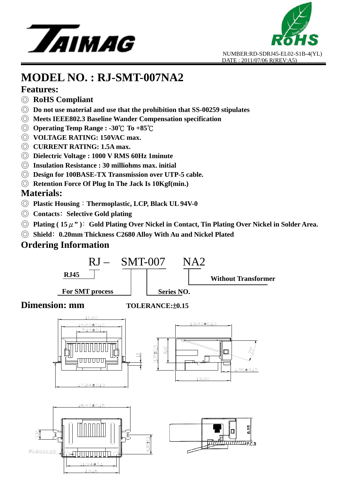



### **Features:**

- ◎ **RoHS Compliant**
- ◎ **Do not use material and use that the prohibition that SS-00259 stipulates**
- ◎ **Meets IEEE802.3 Baseline Wander Compensation specification**
- © **Operating Temp Range : -30°C To +85°C**
- ◎ **VOLTAGE RATING: 150VAC max.**
- ◎ **CURRENT RATING: 1.5A max.**
- ◎ **Dielectric Voltage : 1000 V RMS 60Hz 1minute**
- ◎ **Insulation Resistance : 30 milliohms max. initial**
- ◎ **Design for 100BASE-TX Transmission over UTP-5 cable.**
- ◎ **Retention Force Of Plug In The Jack Is 10Kgf(min.)**

### **Materials:**

- ◎ **Plastic Housing**:**Thermoplastic, LCP, Black UL 94V-0**
- ◎ **Contacts**﹕**Selective Gold plating**

 $11.94 \pm 0.1$ 13.16

- ◎ **Plating ( 15**μ**" )**﹕**Gold Plating Over Nickel in Contact, Tin Plating Over Nickel in Solder Area.**
- ◎ **Shield**﹕**0.20mm Thickness C2680 Alloy With Au and Nickel Plated**

### **Ordering Information**

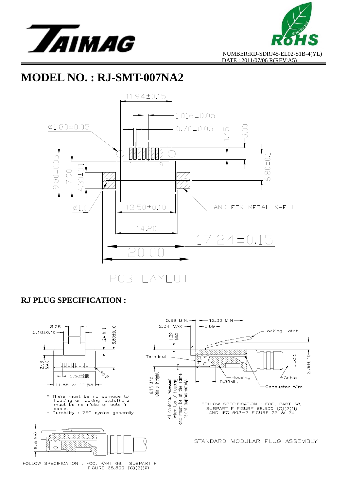





#### **RJ PLUG SPECIFICATION :**

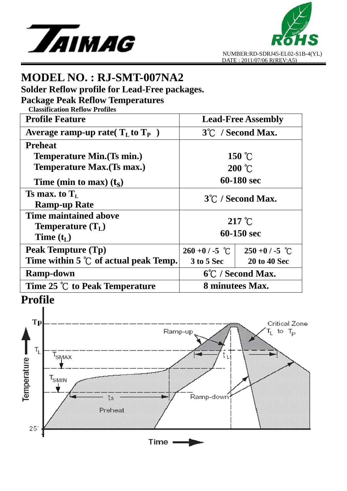



**Solder Reflow profile for Lead-Free packages.** 

**Package Peak Reflow Temperatures** 

| <b>Classification Reflow Profiles</b>          |                           |                     |
|------------------------------------------------|---------------------------|---------------------|
| <b>Profile Feature</b>                         | <b>Lead-Free Assembly</b> |                     |
| Average ramp-up rate( $T_L$ to $T_P$ )         | 3°C / Second Max.         |                     |
| <b>Preheat</b>                                 |                           |                     |
| Temperature Min. (Ts min.)                     | $150\text{ °C}$           |                     |
| Temperature Max. (Ts max.)                     | $200\text{ °C}$           |                     |
| Time (min to max) $(t_s)$                      | 60-180 sec                |                     |
| Ts max. to $T_L$                               | 3°C / Second Max.         |                     |
| <b>Ramp-up Rate</b>                            |                           |                     |
| Time maintained above                          | $217^{\circ}$ C           |                     |
| <b>Temperature</b> $(T_L)$                     |                           |                     |
| Time $(t_L)$                                   | 60-150 sec                |                     |
| Peak Tempture (Tp)                             | $260 + 0$ / -5 °C         | $250 + 0 / -5$ °C   |
| Time within 5 $\degree$ C of actual peak Temp. | <b>3 to 5 Sec</b>         | <b>20 to 40 Sec</b> |
| <b>Ramp-down</b>                               | 6°C / Second Max.         |                     |
| Time 25 ℃ to Peak Temperature                  | 8 minutees Max.           |                     |

# **Profile**